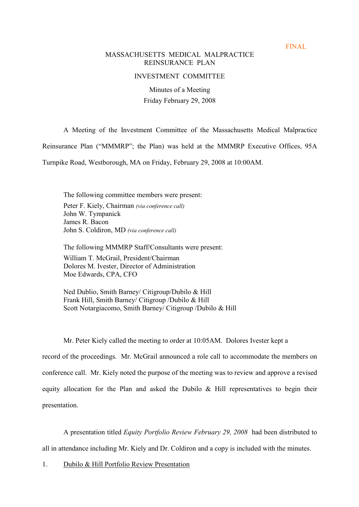FINAL

# MASSACHUSETTS MEDICAL MALPRACTICE REINSURANCE PLAN

## INVESTMENT COMMITTEE

Minutes of a Meeting Friday February 29, 2008

A Meeting of the Investment Committee of the Massachusetts Medical Malpractice

Reinsurance Plan ("MMMRP"; the Plan) was held at the MMMRP Executive Offices, 95A

Turnpike Road, Westborough, MA on Friday, February 29, 2008 at 10:00AM.

The following committee members were present: Peter F. Kiely, Chairman (via conference call) John W. Tympanick James R. Bacon John S. Coldiron, MD (via conference call)

The following MMMRP Staff/Consultants were present: William T. McGrail, President/Chairman Dolores M. Ivester, Director of Administration Moe Edwards, CPA, CFO

Ned Dublio, Smith Barney/ Citigroup/Dubilo & Hill Frank Hill, Smith Barney/ Citigroup /Dubilo & Hill Scott Notargiacomo, Smith Barney/ Citigroup /Dubilo & Hill

Mr. Peter Kiely called the meeting to order at 10:05AM. Dolores Ivester kept a record of the proceedings. Mr. McGrail announced a role call to accommodate the members on conference call. Mr. Kiely noted the purpose of the meeting was to review and approve a revised equity allocation for the Plan and asked the Dubilo & Hill representatives to begin their presentation.

A presentation titled Equity Portfolio Review February 29, 2008 had been distributed to all in attendance including Mr. Kiely and Dr. Coldiron and a copy is included with the minutes.

1. Dubilo & Hill Portfolio Review Presentation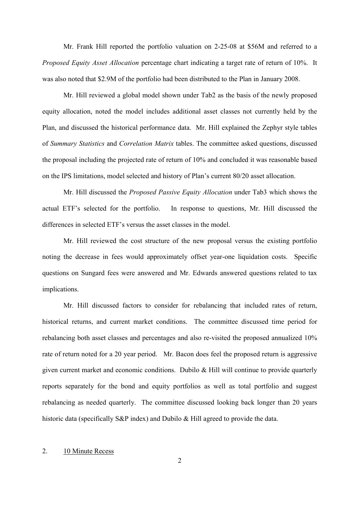Mr. Frank Hill reported the portfolio valuation on 2-25-08 at \$56M and referred to a Proposed Equity Asset Allocation percentage chart indicating a target rate of return of 10%. It was also noted that \$2.9M of the portfolio had been distributed to the Plan in January 2008.

Mr. Hill reviewed a global model shown under Tab2 as the basis of the newly proposed equity allocation, noted the model includes additional asset classes not currently held by the Plan, and discussed the historical performance data. Mr. Hill explained the Zephyr style tables of Summary Statistics and Correlation Matrix tables. The committee asked questions, discussed the proposal including the projected rate of return of 10% and concluded it was reasonable based on the IPS limitations, model selected and history of Plan's current 80/20 asset allocation.

Mr. Hill discussed the *Proposed Passive Equity Allocation* under Tab3 which shows the actual ETF's selected for the portfolio. In response to questions, Mr. Hill discussed the differences in selected ETF's versus the asset classes in the model.

Mr. Hill reviewed the cost structure of the new proposal versus the existing portfolio noting the decrease in fees would approximately offset year-one liquidation costs. Specific questions on Sungard fees were answered and Mr. Edwards answered questions related to tax implications.

Mr. Hill discussed factors to consider for rebalancing that included rates of return, historical returns, and current market conditions. The committee discussed time period for rebalancing both asset classes and percentages and also re-visited the proposed annualized 10% rate of return noted for a 20 year period. Mr. Bacon does feel the proposed return is aggressive given current market and economic conditions. Dubilo & Hill will continue to provide quarterly reports separately for the bond and equity portfolios as well as total portfolio and suggest rebalancing as needed quarterly. The committee discussed looking back longer than 20 years historic data (specifically S&P index) and Dubilo & Hill agreed to provide the data.

## 2. 10 Minute Recess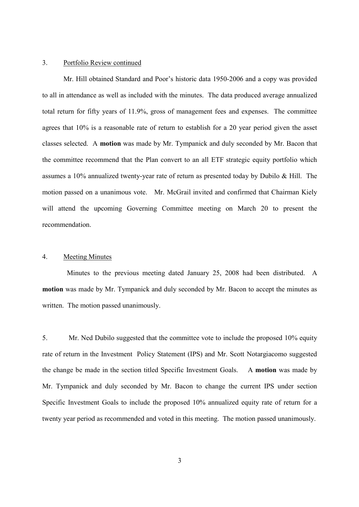## 3. Portfolio Review continued

Mr. Hill obtained Standard and Poor's historic data 1950-2006 and a copy was provided to all in attendance as well as included with the minutes. The data produced average annualized total return for fifty years of 11.9%, gross of management fees and expenses. The committee agrees that 10% is a reasonable rate of return to establish for a 20 year period given the asset classes selected. A **motion** was made by Mr. Tympanick and duly seconded by Mr. Bacon that the committee recommend that the Plan convert to an all ETF strategic equity portfolio which assumes a 10% annualized twenty-year rate of return as presented today by Dubilo & Hill. The motion passed on a unanimous vote. Mr. McGrail invited and confirmed that Chairman Kiely will attend the upcoming Governing Committee meeting on March 20 to present the recommendation.

#### 4. Meeting Minutes

Minutes to the previous meeting dated January 25, 2008 had been distributed. A **motion** was made by Mr. Tympanick and duly seconded by Mr. Bacon to accept the minutes as written. The motion passed unanimously.

5. Mr. Ned Dubilo suggested that the committee vote to include the proposed 10% equity rate of return in the Investment Policy Statement (IPS) and Mr. Scott Notargiacomo suggested the change be made in the section titled Specific Investment Goals. A **motion** was made by Mr. Tympanick and duly seconded by Mr. Bacon to change the current IPS under section Specific Investment Goals to include the proposed 10% annualized equity rate of return for a twenty year period as recommended and voted in this meeting. The motion passed unanimously.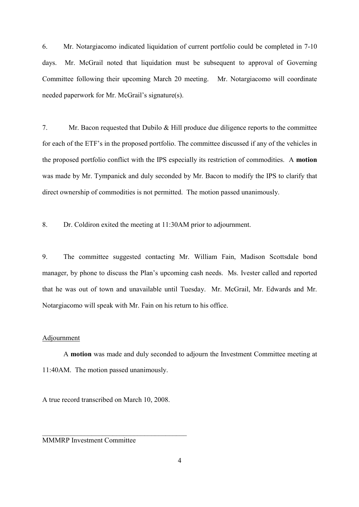6. Mr. Notargiacomo indicated liquidation of current portfolio could be completed in 7-10 days. Mr. McGrail noted that liquidation must be subsequent to approval of Governing Committee following their upcoming March 20 meeting. Mr. Notargiacomo will coordinate needed paperwork for Mr. McGrail's signature(s).

7. Mr. Bacon requested that Dubilo & Hill produce due diligence reports to the committee for each of the ETF's in the proposed portfolio. The committee discussed if any of the vehicles in the proposed portfolio conflict with the IPS especially its restriction of commodities. A **motion** was made by Mr. Tympanick and duly seconded by Mr. Bacon to modify the IPS to clarify that direct ownership of commodities is not permitted. The motion passed unanimously.

8. Dr. Coldiron exited the meeting at 11:30AM prior to adjournment.

9. The committee suggested contacting Mr. William Fain, Madison Scottsdale bond manager, by phone to discuss the Plan's upcoming cash needs. Ms. Ivester called and reported that he was out of town and unavailable until Tuesday. Mr. McGrail, Mr. Edwards and Mr. Notargiacomo will speak with Mr. Fain on his return to his office.

### Adjournment

A **motion** was made and duly seconded to adjourn the Investment Committee meeting at 11:40AM. The motion passed unanimously.

A true record transcribed on March 10, 2008.

 $\mathcal{L}_\text{max}$  , and the set of the set of the set of the set of the set of the set of the set of the set of the set of the set of the set of the set of the set of the set of the set of the set of the set of the set of the

MMMRP Investment Committee